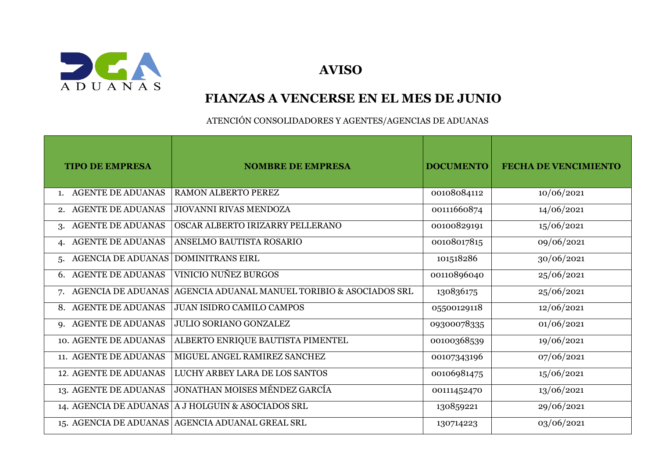

 **AVISO**

## **FIANZAS A VENCERSE EN EL MES DE JUNIO**

ATENCIÓN CONSOLIDADORES Y AGENTES/AGENCIAS DE ADUANAS

| <b>TIPO DE EMPRESA</b>                  | <b>NOMBRE DE EMPRESA</b>                             | <b>DOCUMENTO</b> | <b>FECHA DE VENCIMIENTO</b> |
|-----------------------------------------|------------------------------------------------------|------------------|-----------------------------|
| <b>AGENTE DE ADUANAS</b><br>1.          | <b>RAMON ALBERTO PEREZ</b>                           | 00108084112      | 10/06/2021                  |
| <b>AGENTE DE ADUANAS</b><br>2.          | JIOVANNI RIVAS MENDOZA                               | 00111660874      | 14/06/2021                  |
| <b>AGENTE DE ADUANAS</b><br>3.          | OSCAR ALBERTO IRIZARRY PELLERANO                     | 00100829191      | 15/06/2021                  |
| <b>AGENTE DE ADUANAS</b><br>4.          | ANSELMO BAUTISTA ROSARIO                             | 00108017815      | 09/06/2021                  |
| AGENCIA DE ADUANAS<br>5.                | <b>DOMINITRANS EIRL</b>                              | 101518286        | 30/06/2021                  |
| <b>AGENTE DE ADUANAS</b><br>6.          | VINICIO NUÑEZ BURGOS                                 | 00110896040      | 25/06/2021                  |
| <b>AGENCIA DE ADUANAS</b><br>7.         | AGENCIA ADUANAL MANUEL TORIBIO & ASOCIADOS SRL       | 130836175        | 25/06/2021                  |
| <b>AGENTE DE ADUANAS</b><br>8.          | <b>JUAN ISIDRO CAMILO CAMPOS</b>                     | 05500129118      | 12/06/2021                  |
| <b>AGENTE DE ADUANAS</b><br>$Q_{\star}$ | <b>JULIO SORIANO GONZALEZ</b>                        | 09300078335      | 01/06/2021                  |
| 10. AGENTE DE ADUANAS                   | ALBERTO ENRIQUE BAUTISTA PIMENTEL                    | 00100368539      | 19/06/2021                  |
| 11. AGENTE DE ADUANAS                   | MIGUEL ANGEL RAMIREZ SANCHEZ                         | 00107343196      | 07/06/2021                  |
| <b>12. AGENTE DE ADUANAS</b>            | LUCHY ARBEY LARA DE LOS SANTOS                       | 00106981475      | 15/06/2021                  |
| 13. AGENTE DE ADUANAS                   | JONATHAN MOISES MÉNDEZ GARCÍA                        | 00111452470      | 13/06/2021                  |
|                                         | 14. AGENCIA DE ADUANAS   A J HOLGUIN & ASOCIADOS SRL | 130859221        | 29/06/2021                  |
|                                         | 15. AGENCIA DE ADUANAS AGENCIA ADUANAL GREAL SRL     | 130714223        | 03/06/2021                  |